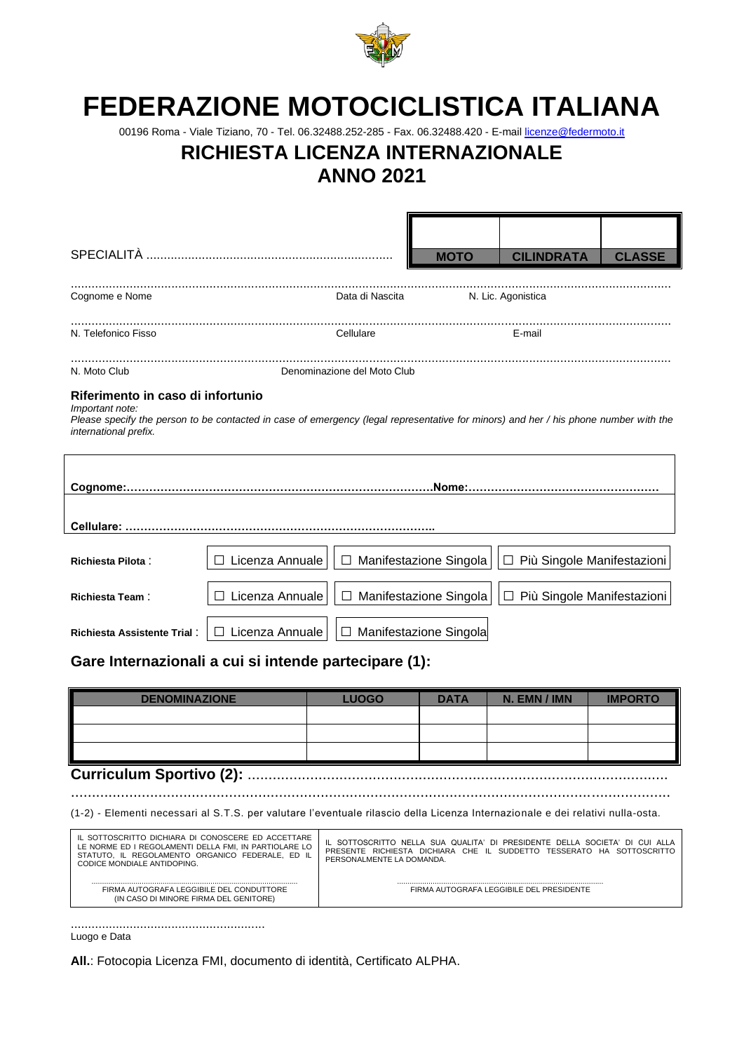

# **FEDERAZIONE MOTOCICLISTICA ITALIANA**

00196 Roma - Viale Tiziano, 70 - Tel. 06.32488.252-285 - Fax. 06.32488.420 - E-mail [licenze@federmoto.it](mailto:licenze@federmoto.it)

## **RICHIESTA LICENZA INTERNAZIONALE**

### **ANNO 2021**

|                                                                                                                                                                                                |                                                                                                                                |                             | <b>MOTO</b> | <b>CILINDRATA</b>                                                                                                                                    | <b>CLASSE</b>                |  |  |  |  |  |  |  |
|------------------------------------------------------------------------------------------------------------------------------------------------------------------------------------------------|--------------------------------------------------------------------------------------------------------------------------------|-----------------------------|-------------|------------------------------------------------------------------------------------------------------------------------------------------------------|------------------------------|--|--|--|--|--|--|--|
|                                                                                                                                                                                                |                                                                                                                                |                             |             |                                                                                                                                                      |                              |  |  |  |  |  |  |  |
| Cognome e Nome                                                                                                                                                                                 |                                                                                                                                | Data di Nascita             |             | N. Lic. Agonistica                                                                                                                                   |                              |  |  |  |  |  |  |  |
|                                                                                                                                                                                                |                                                                                                                                |                             |             |                                                                                                                                                      |                              |  |  |  |  |  |  |  |
| N. Telefonico Fisso                                                                                                                                                                            |                                                                                                                                | Cellulare                   |             | E-mail                                                                                                                                               |                              |  |  |  |  |  |  |  |
| N. Moto Club                                                                                                                                                                                   |                                                                                                                                | Denominazione del Moto Club |             |                                                                                                                                                      |                              |  |  |  |  |  |  |  |
| Riferimento in caso di infortunio                                                                                                                                                              |                                                                                                                                |                             |             |                                                                                                                                                      |                              |  |  |  |  |  |  |  |
| Important note:<br>Please specify the person to be contacted in case of emergency (legal representative for minors) and her / his phone number with the<br>international prefix.               |                                                                                                                                |                             |             |                                                                                                                                                      |                              |  |  |  |  |  |  |  |
|                                                                                                                                                                                                |                                                                                                                                |                             |             |                                                                                                                                                      |                              |  |  |  |  |  |  |  |
|                                                                                                                                                                                                |                                                                                                                                |                             |             |                                                                                                                                                      |                              |  |  |  |  |  |  |  |
|                                                                                                                                                                                                |                                                                                                                                |                             |             |                                                                                                                                                      |                              |  |  |  |  |  |  |  |
| <b>Richiesta Pilota:</b>                                                                                                                                                                       | Licenza Annuale                                                                                                                | □ Manifestazione Singola    |             |                                                                                                                                                      | Più Singole Manifestazioni   |  |  |  |  |  |  |  |
| <b>Richiesta Team:</b>                                                                                                                                                                         | □ Licenza Annuale                                                                                                              | □ Manifestazione Singola    |             |                                                                                                                                                      | □ Più Singole Manifestazioni |  |  |  |  |  |  |  |
| <b>Richiesta Assistente Trial:</b>                                                                                                                                                             | □ Licenza Annuale                                                                                                              | □ Manifestazione Singola    |             |                                                                                                                                                      |                              |  |  |  |  |  |  |  |
| Gare Internazionali a cui si intende partecipare (1):                                                                                                                                          |                                                                                                                                |                             |             |                                                                                                                                                      |                              |  |  |  |  |  |  |  |
| <b>DENOMINAZIONE</b>                                                                                                                                                                           |                                                                                                                                | <b>LUOGO</b>                | <b>DATA</b> | N. EMN / IMN                                                                                                                                         | <b>IMPORTO</b>               |  |  |  |  |  |  |  |
|                                                                                                                                                                                                |                                                                                                                                |                             |             |                                                                                                                                                      |                              |  |  |  |  |  |  |  |
|                                                                                                                                                                                                |                                                                                                                                |                             |             |                                                                                                                                                      |                              |  |  |  |  |  |  |  |
|                                                                                                                                                                                                |                                                                                                                                |                             |             |                                                                                                                                                      |                              |  |  |  |  |  |  |  |
| <b>Curriculum Sportivo (2):</b>                                                                                                                                                                |                                                                                                                                |                             |             |                                                                                                                                                      |                              |  |  |  |  |  |  |  |
|                                                                                                                                                                                                | (1-2) - Elementi necessari al S.T.S. per valutare l'eventuale rilascio della Licenza Internazionale e dei relativi nulla-osta. |                             |             |                                                                                                                                                      |                              |  |  |  |  |  |  |  |
| IL SOTTOSCRITTO DICHIARA DI CONOSCERE ED ACCETTARE<br>LE NORME ED I REGOLAMENTI DELLA FMI, IN PARTIOLARE LO<br>STATUTO, IL REGOLAMENTO ORGANICO FEDERALE, ED IL<br>CODICE MONDIALE ANTIDOPING. |                                                                                                                                | PERSONALMENTE LA DOMANDA.   |             | IL SOTTOSCRITTO NELLA SUA QUALITA' DI PRESIDENTE DELLA SOCIETA' DI CUI ALLA<br>PRESENTE RICHIESTA DICHIARA CHE IL SUDDETTO TESSERATO HA SOTTOSCRITTO |                              |  |  |  |  |  |  |  |

................................................................................................... FIRMA AUTOGRAFA LEGGIBILE DEL PRESIDENTE

........................................................

................................................................................................... FIRMA AUTOGRAFA LEGGIBILE DEL CONDUTTORE (IN CASO DI MINORE FIRMA DEL GENITORE)

Luogo e Data

**All.**: Fotocopia Licenza FMI, documento di identità, Certificato ALPHA.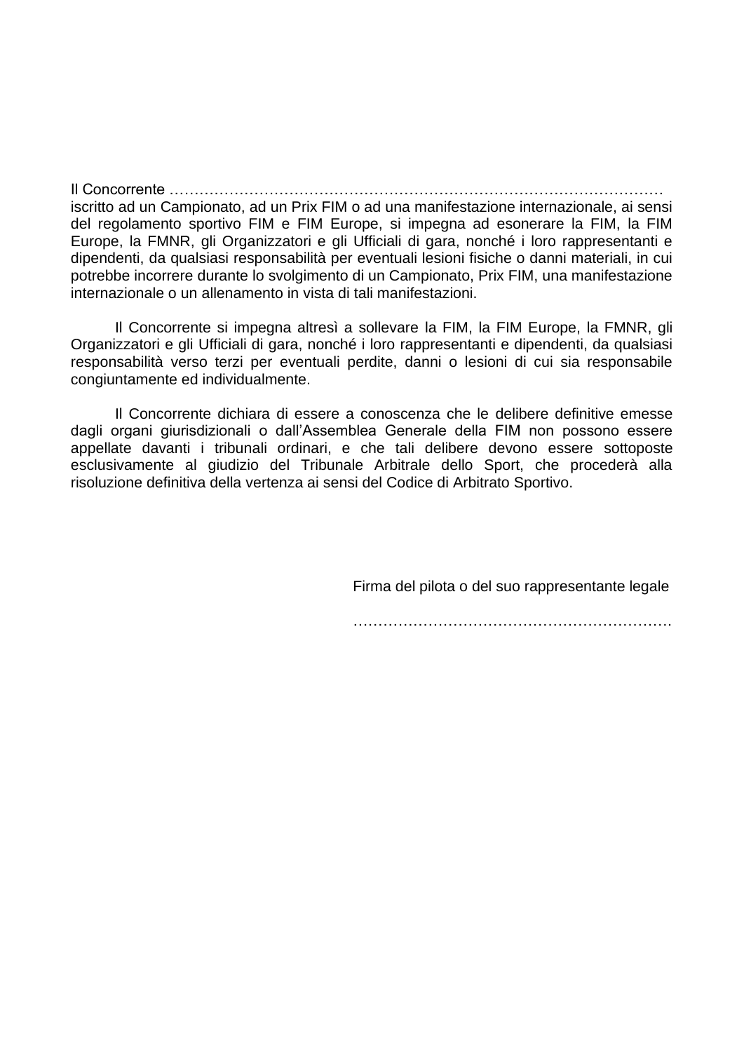Il Concorrente ……………………………………………………………………………………… iscritto ad un Campionato, ad un Prix FIM o ad una manifestazione internazionale, ai sensi del regolamento sportivo FIM e FIM Europe, si impegna ad esonerare la FIM, la FIM Europe, la FMNR, gli Organizzatori e gli Ufficiali di gara, nonché i loro rappresentanti e dipendenti, da qualsiasi responsabilità per eventuali lesioni fisiche o danni materiali, in cui potrebbe incorrere durante lo svolgimento di un Campionato, Prix FIM, una manifestazione internazionale o un allenamento in vista di tali manifestazioni.

Il Concorrente si impegna altresì a sollevare la FIM, la FIM Europe, la FMNR, gli Organizzatori e gli Ufficiali di gara, nonché i loro rappresentanti e dipendenti, da qualsiasi responsabilità verso terzi per eventuali perdite, danni o lesioni di cui sia responsabile congiuntamente ed individualmente.

Il Concorrente dichiara di essere a conoscenza che le delibere definitive emesse dagli organi giurisdizionali o dall'Assemblea Generale della FIM non possono essere appellate davanti i tribunali ordinari, e che tali delibere devono essere sottoposte esclusivamente al giudizio del Tribunale Arbitrale dello Sport, che procederà alla risoluzione definitiva della vertenza ai sensi del Codice di Arbitrato Sportivo.

Firma del pilota o del suo rappresentante legale

……………………………………………………….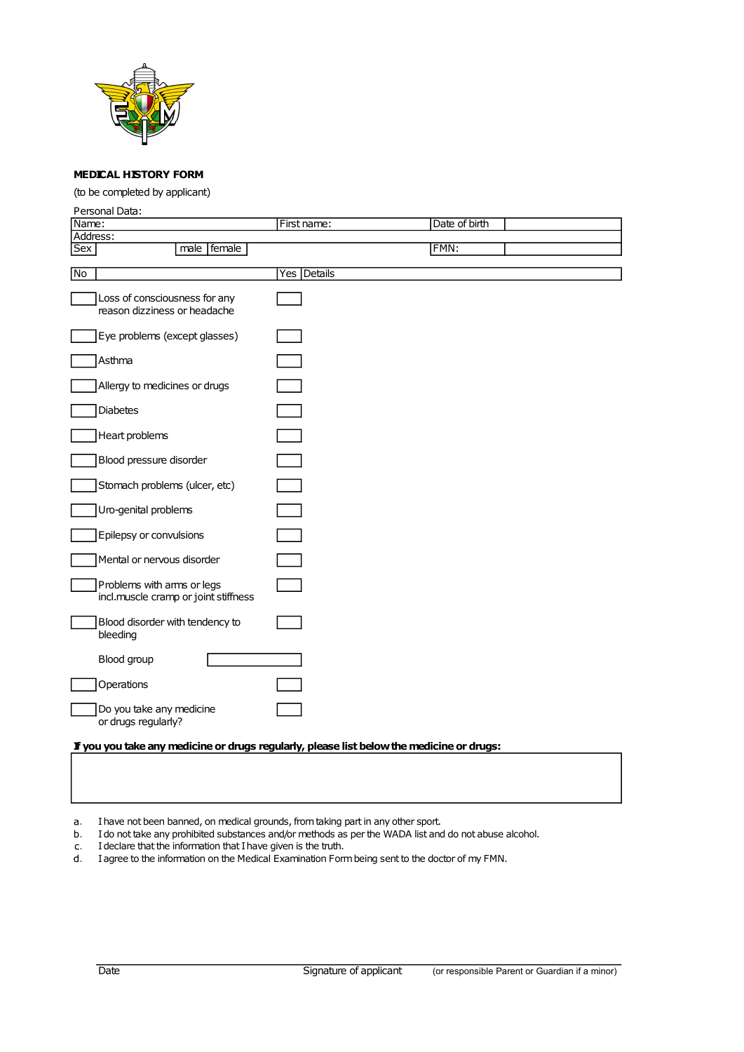

#### MEDICAL HISTORY FORM

(to be completed by applicant)

| Personal Data:                                                                            |               |               |  |
|-------------------------------------------------------------------------------------------|---------------|---------------|--|
| Name:                                                                                     | First name:   | Date of birth |  |
| Address:                                                                                  |               |               |  |
| <b>Sex</b><br>male   female                                                               |               | FMN:          |  |
| No                                                                                        | Yes   Details |               |  |
|                                                                                           |               |               |  |
| Loss of consciousness for any<br>reason dizziness or headache                             |               |               |  |
| Eye problems (except glasses)                                                             |               |               |  |
| Asthma                                                                                    |               |               |  |
| Allergy to medicines or drugs                                                             |               |               |  |
| <b>Diabetes</b>                                                                           |               |               |  |
| Heart problems                                                                            |               |               |  |
| Blood pressure disorder                                                                   |               |               |  |
| Stomach problems (ulcer, etc)                                                             |               |               |  |
| Uro-genital problems                                                                      |               |               |  |
| Epilepsy or convulsions                                                                   |               |               |  |
| Mental or nervous disorder                                                                |               |               |  |
| Problems with arms or legs<br>incl.muscle cramp or joint stiffness                        |               |               |  |
| Blood disorder with tendency to<br>bleeding                                               |               |               |  |
| Blood group                                                                               |               |               |  |
| Operations                                                                                |               |               |  |
| Do you take any medicine<br>or drugs regularly?                                           |               |               |  |
| If you you take any medicine or drugs regularly, please list below the medicine or drugs: |               |               |  |

I have not been banned, on medical grounds, from taking part in any other sport.  $a<sub>1</sub>$ 

b. I do not take any prohibited substances and/or methods as per the WADA list and do not abuse alcohol.

I declare that the information that I have given is the truth.  $\mathsf{C}_\bullet$ 

d. I agree to the information on the Medical Examination Form being sent to the doctor of my FMN.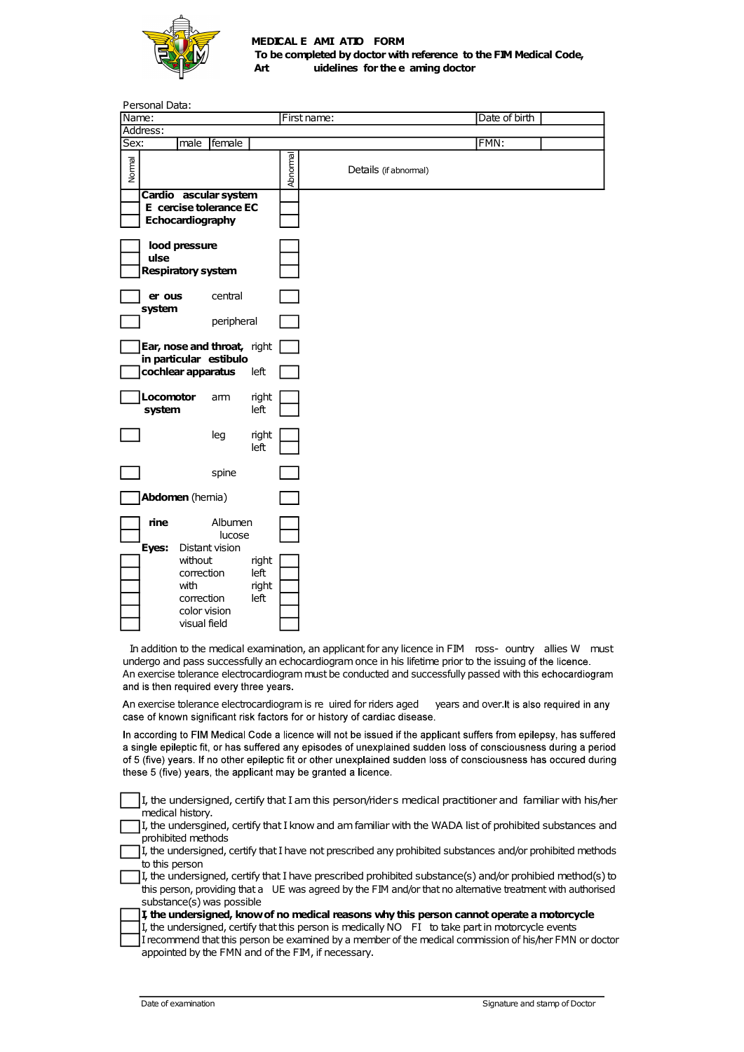

#### MEDICAL E AMI ATIO FORM To be completed by doctor with reference to the FIM Medical Code, Art **include that is undelines for the e aming doctor**

|                                         |                                                       | Art           |          | MEDICAL E AMI ATIO FORM<br>To be completed by doctor with reference to the FIM Medical Code,<br>uidelines for the e aming doctor                                                                                                                                                                                                  |               |                                            |  |
|-----------------------------------------|-------------------------------------------------------|---------------|----------|-----------------------------------------------------------------------------------------------------------------------------------------------------------------------------------------------------------------------------------------------------------------------------------------------------------------------------------|---------------|--------------------------------------------|--|
| Personal Data:<br>Name:                 |                                                       |               |          | First name:                                                                                                                                                                                                                                                                                                                       | Date of birth |                                            |  |
| Address:                                |                                                       |               |          |                                                                                                                                                                                                                                                                                                                                   |               |                                            |  |
| Sex:                                    | male female                                           |               |          |                                                                                                                                                                                                                                                                                                                                   | FMN:          |                                            |  |
| Normal                                  | Cardio ascular system                                 |               | Abnormal | Details (if abnormal)                                                                                                                                                                                                                                                                                                             |               |                                            |  |
|                                         | E cercise tolerance EC<br>Echocardiography            |               |          |                                                                                                                                                                                                                                                                                                                                   |               |                                            |  |
| lood pressure                           |                                                       |               |          |                                                                                                                                                                                                                                                                                                                                   |               |                                            |  |
| ulse                                    | <b>Respiratory system</b>                             |               |          |                                                                                                                                                                                                                                                                                                                                   |               |                                            |  |
| er ous                                  | central                                               |               |          |                                                                                                                                                                                                                                                                                                                                   |               |                                            |  |
| system                                  | peripheral                                            |               |          |                                                                                                                                                                                                                                                                                                                                   |               |                                            |  |
|                                         | Ear, nose and throat, right<br>in particular estibulo |               |          |                                                                                                                                                                                                                                                                                                                                   |               |                                            |  |
|                                         | cochlear apparatus                                    | left          |          |                                                                                                                                                                                                                                                                                                                                   |               |                                            |  |
| Locomotor<br>system                     | am                                                    | right<br>left |          |                                                                                                                                                                                                                                                                                                                                   |               |                                            |  |
|                                         | leg                                                   | right<br>left |          |                                                                                                                                                                                                                                                                                                                                   |               |                                            |  |
|                                         | spine                                                 |               |          |                                                                                                                                                                                                                                                                                                                                   |               |                                            |  |
| <b>Abdomen</b> (hemia)                  |                                                       |               |          |                                                                                                                                                                                                                                                                                                                                   |               |                                            |  |
| rine                                    | Albumen<br>lucose                                     |               |          |                                                                                                                                                                                                                                                                                                                                   |               |                                            |  |
| Eyes:                                   | Distant vision<br>without<br>correction               | right<br>left |          |                                                                                                                                                                                                                                                                                                                                   |               |                                            |  |
| with                                    | correction                                            | right<br>left |          |                                                                                                                                                                                                                                                                                                                                   |               |                                            |  |
|                                         | color vision<br>visual field                          |               |          |                                                                                                                                                                                                                                                                                                                                   |               |                                            |  |
|                                         |                                                       |               |          | In addition to the medical examination, an applicant for any licence in FIM ross- ountry allies W must<br>undergo and pass successfully an echocardiogram once in his lifetime prior to the issuing of the licence.<br>An exercise tolerance electrocardiogram must be conducted and successfully passed with this echocardiogram |               |                                            |  |
| and is then required every three years. |                                                       |               |          | An exercise tolerance electrocardiogram is re uired for riders aged                                                                                                                                                                                                                                                               |               | years and over. It is also required in any |  |
|                                         |                                                       |               |          | case of known significant risk factors for or history of cardiac disease.<br>In according to FIM Medical Code a licence will not be issued if the applicant suffers from epilepsy, has suffered                                                                                                                                   |               |                                            |  |
|                                         |                                                       |               |          | a single epileptic fit, or has suffered any episodes of unexplained sudden loss of consciousness during a period<br>of 5 (five) years. If no other epileptic fit or other unexplained sudden loss of consciousness has occured during<br>these 5 (five) years, the applicant may be granted a licence.                            |               |                                            |  |
| medical history.                        |                                                       |               |          | I, the undersigned, certify that I am this person/riders medical practitioner and familiar with his/her                                                                                                                                                                                                                           |               |                                            |  |
| prohibited methods                      |                                                       |               |          | I, the undersgined, certify that I know and am familiar with the WADA list of prohibited substances and                                                                                                                                                                                                                           |               |                                            |  |
| to this person                          |                                                       |               |          | I, the undersigned, certify that I have not prescribed any prohibited substances and/or prohibited methods<br>I, the undersigned, certify that I have prescribed prohibited substance(s) and/or prohibied method(s) to                                                                                                            |               |                                            |  |
|                                         |                                                       |               |          | this person, providing that a UE was agreed by the FIM and/or that no alternative treatment with authorised                                                                                                                                                                                                                       |               |                                            |  |

| lucose<br>Distant vision<br>Eyes:<br>without<br>right<br>left<br>correction<br>with<br>right<br>left<br>correction<br>color vision<br>visual field<br>In addition to the medical examination, an applicant for any licence in FIM ross-ountry allies W must<br>undergo and pass successfully an echocardiogram once in his lifetime prior to the issuing of the licence.<br>An exercise tolerance electrocardiogram must be conducted and successfully passed with this echocardiogram<br>and is then required every three years.<br>An exercise tolerance electrocardiogram is re uired for riders aged<br>years and over. It is also required in any<br>case of known significant risk factors for or history of cardiac disease.<br>In according to FIM Medical Code a licence will not be issued if the applicant suffers from epilepsy, has suffered<br>a single epileptic fit, or has suffered any episodes of unexplained sudden loss of consciousness during a period<br>of 5 (five) years. If no other epileptic fit or other unexplained sudden loss of consciousness has occured during<br>these 5 (five) years, the applicant may be granted a licence.<br>the undersigned, certify that I am this person/riders medical practitioner and familiar with his/her<br>medical history.<br>I, the undersgined, certify that I know and am familiar with the WADA list of prohibited substances and<br>prohibited methods<br>I, the undersigned, certify that I have not prescribed any prohibited substances and/or prohibited methods<br>to this person<br>I, the undersigned, certify that I have prescribed prohibited substance(s) and/or prohibied method(s) to<br>this person, providing that a UE was agreed by the FIM and/or that no alternative treatment with authorised<br>substance(s) was possible<br>I, the undersigned, know of no medical reasons why this person cannot operate a motorcycle<br>I, the undersigned, certify that this person is medically NO FI to take part in motorcycle events<br>I recommend that this person be examined by a member of the medical commission of his/her FMN or doctor<br>appointed by the FMN and of the FIM, if necessary.<br>Date of examination<br>Signature and stamp of Doctor | rine | Albumen |  |  |  |  |  |  |
|------------------------------------------------------------------------------------------------------------------------------------------------------------------------------------------------------------------------------------------------------------------------------------------------------------------------------------------------------------------------------------------------------------------------------------------------------------------------------------------------------------------------------------------------------------------------------------------------------------------------------------------------------------------------------------------------------------------------------------------------------------------------------------------------------------------------------------------------------------------------------------------------------------------------------------------------------------------------------------------------------------------------------------------------------------------------------------------------------------------------------------------------------------------------------------------------------------------------------------------------------------------------------------------------------------------------------------------------------------------------------------------------------------------------------------------------------------------------------------------------------------------------------------------------------------------------------------------------------------------------------------------------------------------------------------------------------------------------------------------------------------------------------------------------------------------------------------------------------------------------------------------------------------------------------------------------------------------------------------------------------------------------------------------------------------------------------------------------------------------------------------------------------------------------------------------------------------------------------------------------------|------|---------|--|--|--|--|--|--|
|                                                                                                                                                                                                                                                                                                                                                                                                                                                                                                                                                                                                                                                                                                                                                                                                                                                                                                                                                                                                                                                                                                                                                                                                                                                                                                                                                                                                                                                                                                                                                                                                                                                                                                                                                                                                                                                                                                                                                                                                                                                                                                                                                                                                                                                      |      |         |  |  |  |  |  |  |
|                                                                                                                                                                                                                                                                                                                                                                                                                                                                                                                                                                                                                                                                                                                                                                                                                                                                                                                                                                                                                                                                                                                                                                                                                                                                                                                                                                                                                                                                                                                                                                                                                                                                                                                                                                                                                                                                                                                                                                                                                                                                                                                                                                                                                                                      |      |         |  |  |  |  |  |  |
|                                                                                                                                                                                                                                                                                                                                                                                                                                                                                                                                                                                                                                                                                                                                                                                                                                                                                                                                                                                                                                                                                                                                                                                                                                                                                                                                                                                                                                                                                                                                                                                                                                                                                                                                                                                                                                                                                                                                                                                                                                                                                                                                                                                                                                                      |      |         |  |  |  |  |  |  |
|                                                                                                                                                                                                                                                                                                                                                                                                                                                                                                                                                                                                                                                                                                                                                                                                                                                                                                                                                                                                                                                                                                                                                                                                                                                                                                                                                                                                                                                                                                                                                                                                                                                                                                                                                                                                                                                                                                                                                                                                                                                                                                                                                                                                                                                      |      |         |  |  |  |  |  |  |
|                                                                                                                                                                                                                                                                                                                                                                                                                                                                                                                                                                                                                                                                                                                                                                                                                                                                                                                                                                                                                                                                                                                                                                                                                                                                                                                                                                                                                                                                                                                                                                                                                                                                                                                                                                                                                                                                                                                                                                                                                                                                                                                                                                                                                                                      |      |         |  |  |  |  |  |  |
|                                                                                                                                                                                                                                                                                                                                                                                                                                                                                                                                                                                                                                                                                                                                                                                                                                                                                                                                                                                                                                                                                                                                                                                                                                                                                                                                                                                                                                                                                                                                                                                                                                                                                                                                                                                                                                                                                                                                                                                                                                                                                                                                                                                                                                                      |      |         |  |  |  |  |  |  |
|                                                                                                                                                                                                                                                                                                                                                                                                                                                                                                                                                                                                                                                                                                                                                                                                                                                                                                                                                                                                                                                                                                                                                                                                                                                                                                                                                                                                                                                                                                                                                                                                                                                                                                                                                                                                                                                                                                                                                                                                                                                                                                                                                                                                                                                      |      |         |  |  |  |  |  |  |
|                                                                                                                                                                                                                                                                                                                                                                                                                                                                                                                                                                                                                                                                                                                                                                                                                                                                                                                                                                                                                                                                                                                                                                                                                                                                                                                                                                                                                                                                                                                                                                                                                                                                                                                                                                                                                                                                                                                                                                                                                                                                                                                                                                                                                                                      |      |         |  |  |  |  |  |  |
|                                                                                                                                                                                                                                                                                                                                                                                                                                                                                                                                                                                                                                                                                                                                                                                                                                                                                                                                                                                                                                                                                                                                                                                                                                                                                                                                                                                                                                                                                                                                                                                                                                                                                                                                                                                                                                                                                                                                                                                                                                                                                                                                                                                                                                                      |      |         |  |  |  |  |  |  |
|                                                                                                                                                                                                                                                                                                                                                                                                                                                                                                                                                                                                                                                                                                                                                                                                                                                                                                                                                                                                                                                                                                                                                                                                                                                                                                                                                                                                                                                                                                                                                                                                                                                                                                                                                                                                                                                                                                                                                                                                                                                                                                                                                                                                                                                      |      |         |  |  |  |  |  |  |
|                                                                                                                                                                                                                                                                                                                                                                                                                                                                                                                                                                                                                                                                                                                                                                                                                                                                                                                                                                                                                                                                                                                                                                                                                                                                                                                                                                                                                                                                                                                                                                                                                                                                                                                                                                                                                                                                                                                                                                                                                                                                                                                                                                                                                                                      |      |         |  |  |  |  |  |  |
|                                                                                                                                                                                                                                                                                                                                                                                                                                                                                                                                                                                                                                                                                                                                                                                                                                                                                                                                                                                                                                                                                                                                                                                                                                                                                                                                                                                                                                                                                                                                                                                                                                                                                                                                                                                                                                                                                                                                                                                                                                                                                                                                                                                                                                                      |      |         |  |  |  |  |  |  |
|                                                                                                                                                                                                                                                                                                                                                                                                                                                                                                                                                                                                                                                                                                                                                                                                                                                                                                                                                                                                                                                                                                                                                                                                                                                                                                                                                                                                                                                                                                                                                                                                                                                                                                                                                                                                                                                                                                                                                                                                                                                                                                                                                                                                                                                      |      |         |  |  |  |  |  |  |
|                                                                                                                                                                                                                                                                                                                                                                                                                                                                                                                                                                                                                                                                                                                                                                                                                                                                                                                                                                                                                                                                                                                                                                                                                                                                                                                                                                                                                                                                                                                                                                                                                                                                                                                                                                                                                                                                                                                                                                                                                                                                                                                                                                                                                                                      |      |         |  |  |  |  |  |  |
|                                                                                                                                                                                                                                                                                                                                                                                                                                                                                                                                                                                                                                                                                                                                                                                                                                                                                                                                                                                                                                                                                                                                                                                                                                                                                                                                                                                                                                                                                                                                                                                                                                                                                                                                                                                                                                                                                                                                                                                                                                                                                                                                                                                                                                                      |      |         |  |  |  |  |  |  |
|                                                                                                                                                                                                                                                                                                                                                                                                                                                                                                                                                                                                                                                                                                                                                                                                                                                                                                                                                                                                                                                                                                                                                                                                                                                                                                                                                                                                                                                                                                                                                                                                                                                                                                                                                                                                                                                                                                                                                                                                                                                                                                                                                                                                                                                      |      |         |  |  |  |  |  |  |
|                                                                                                                                                                                                                                                                                                                                                                                                                                                                                                                                                                                                                                                                                                                                                                                                                                                                                                                                                                                                                                                                                                                                                                                                                                                                                                                                                                                                                                                                                                                                                                                                                                                                                                                                                                                                                                                                                                                                                                                                                                                                                                                                                                                                                                                      |      |         |  |  |  |  |  |  |
|                                                                                                                                                                                                                                                                                                                                                                                                                                                                                                                                                                                                                                                                                                                                                                                                                                                                                                                                                                                                                                                                                                                                                                                                                                                                                                                                                                                                                                                                                                                                                                                                                                                                                                                                                                                                                                                                                                                                                                                                                                                                                                                                                                                                                                                      |      |         |  |  |  |  |  |  |
|                                                                                                                                                                                                                                                                                                                                                                                                                                                                                                                                                                                                                                                                                                                                                                                                                                                                                                                                                                                                                                                                                                                                                                                                                                                                                                                                                                                                                                                                                                                                                                                                                                                                                                                                                                                                                                                                                                                                                                                                                                                                                                                                                                                                                                                      |      |         |  |  |  |  |  |  |
|                                                                                                                                                                                                                                                                                                                                                                                                                                                                                                                                                                                                                                                                                                                                                                                                                                                                                                                                                                                                                                                                                                                                                                                                                                                                                                                                                                                                                                                                                                                                                                                                                                                                                                                                                                                                                                                                                                                                                                                                                                                                                                                                                                                                                                                      |      |         |  |  |  |  |  |  |
|                                                                                                                                                                                                                                                                                                                                                                                                                                                                                                                                                                                                                                                                                                                                                                                                                                                                                                                                                                                                                                                                                                                                                                                                                                                                                                                                                                                                                                                                                                                                                                                                                                                                                                                                                                                                                                                                                                                                                                                                                                                                                                                                                                                                                                                      |      |         |  |  |  |  |  |  |
|                                                                                                                                                                                                                                                                                                                                                                                                                                                                                                                                                                                                                                                                                                                                                                                                                                                                                                                                                                                                                                                                                                                                                                                                                                                                                                                                                                                                                                                                                                                                                                                                                                                                                                                                                                                                                                                                                                                                                                                                                                                                                                                                                                                                                                                      |      |         |  |  |  |  |  |  |
|                                                                                                                                                                                                                                                                                                                                                                                                                                                                                                                                                                                                                                                                                                                                                                                                                                                                                                                                                                                                                                                                                                                                                                                                                                                                                                                                                                                                                                                                                                                                                                                                                                                                                                                                                                                                                                                                                                                                                                                                                                                                                                                                                                                                                                                      |      |         |  |  |  |  |  |  |
|                                                                                                                                                                                                                                                                                                                                                                                                                                                                                                                                                                                                                                                                                                                                                                                                                                                                                                                                                                                                                                                                                                                                                                                                                                                                                                                                                                                                                                                                                                                                                                                                                                                                                                                                                                                                                                                                                                                                                                                                                                                                                                                                                                                                                                                      |      |         |  |  |  |  |  |  |
|                                                                                                                                                                                                                                                                                                                                                                                                                                                                                                                                                                                                                                                                                                                                                                                                                                                                                                                                                                                                                                                                                                                                                                                                                                                                                                                                                                                                                                                                                                                                                                                                                                                                                                                                                                                                                                                                                                                                                                                                                                                                                                                                                                                                                                                      |      |         |  |  |  |  |  |  |
|                                                                                                                                                                                                                                                                                                                                                                                                                                                                                                                                                                                                                                                                                                                                                                                                                                                                                                                                                                                                                                                                                                                                                                                                                                                                                                                                                                                                                                                                                                                                                                                                                                                                                                                                                                                                                                                                                                                                                                                                                                                                                                                                                                                                                                                      |      |         |  |  |  |  |  |  |
|                                                                                                                                                                                                                                                                                                                                                                                                                                                                                                                                                                                                                                                                                                                                                                                                                                                                                                                                                                                                                                                                                                                                                                                                                                                                                                                                                                                                                                                                                                                                                                                                                                                                                                                                                                                                                                                                                                                                                                                                                                                                                                                                                                                                                                                      |      |         |  |  |  |  |  |  |
|                                                                                                                                                                                                                                                                                                                                                                                                                                                                                                                                                                                                                                                                                                                                                                                                                                                                                                                                                                                                                                                                                                                                                                                                                                                                                                                                                                                                                                                                                                                                                                                                                                                                                                                                                                                                                                                                                                                                                                                                                                                                                                                                                                                                                                                      |      |         |  |  |  |  |  |  |
|                                                                                                                                                                                                                                                                                                                                                                                                                                                                                                                                                                                                                                                                                                                                                                                                                                                                                                                                                                                                                                                                                                                                                                                                                                                                                                                                                                                                                                                                                                                                                                                                                                                                                                                                                                                                                                                                                                                                                                                                                                                                                                                                                                                                                                                      |      |         |  |  |  |  |  |  |
|                                                                                                                                                                                                                                                                                                                                                                                                                                                                                                                                                                                                                                                                                                                                                                                                                                                                                                                                                                                                                                                                                                                                                                                                                                                                                                                                                                                                                                                                                                                                                                                                                                                                                                                                                                                                                                                                                                                                                                                                                                                                                                                                                                                                                                                      |      |         |  |  |  |  |  |  |
|                                                                                                                                                                                                                                                                                                                                                                                                                                                                                                                                                                                                                                                                                                                                                                                                                                                                                                                                                                                                                                                                                                                                                                                                                                                                                                                                                                                                                                                                                                                                                                                                                                                                                                                                                                                                                                                                                                                                                                                                                                                                                                                                                                                                                                                      |      |         |  |  |  |  |  |  |
|                                                                                                                                                                                                                                                                                                                                                                                                                                                                                                                                                                                                                                                                                                                                                                                                                                                                                                                                                                                                                                                                                                                                                                                                                                                                                                                                                                                                                                                                                                                                                                                                                                                                                                                                                                                                                                                                                                                                                                                                                                                                                                                                                                                                                                                      |      |         |  |  |  |  |  |  |
|                                                                                                                                                                                                                                                                                                                                                                                                                                                                                                                                                                                                                                                                                                                                                                                                                                                                                                                                                                                                                                                                                                                                                                                                                                                                                                                                                                                                                                                                                                                                                                                                                                                                                                                                                                                                                                                                                                                                                                                                                                                                                                                                                                                                                                                      |      |         |  |  |  |  |  |  |
|                                                                                                                                                                                                                                                                                                                                                                                                                                                                                                                                                                                                                                                                                                                                                                                                                                                                                                                                                                                                                                                                                                                                                                                                                                                                                                                                                                                                                                                                                                                                                                                                                                                                                                                                                                                                                                                                                                                                                                                                                                                                                                                                                                                                                                                      |      |         |  |  |  |  |  |  |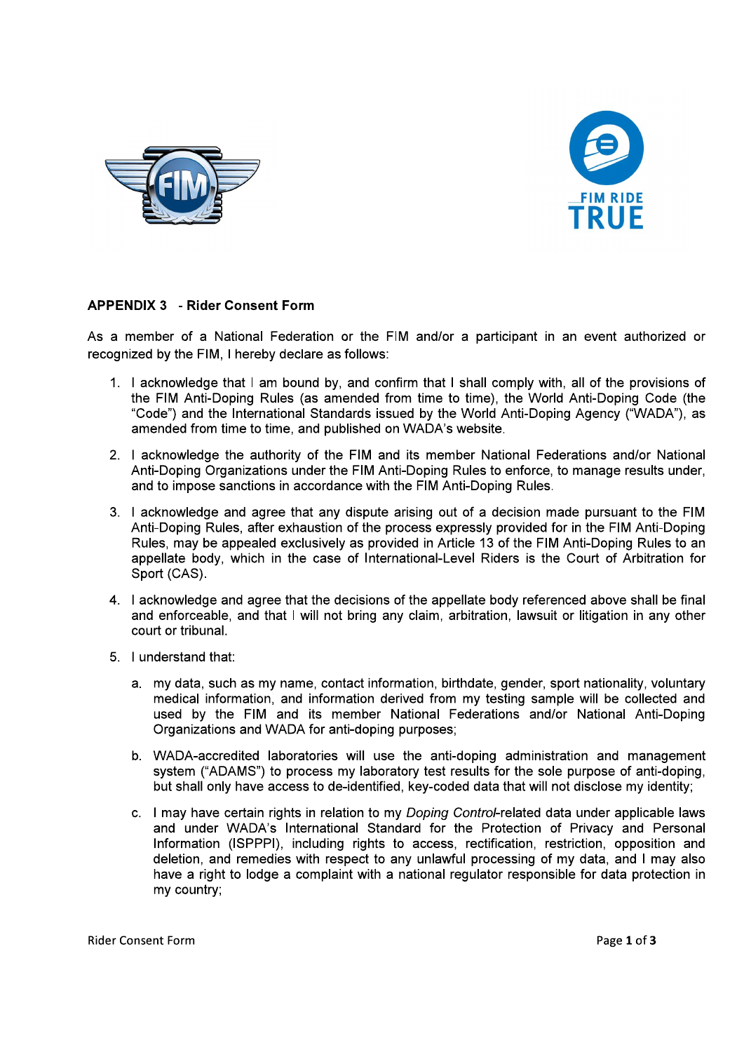



### **APPENDIX 3 - Rider Consent Form**

As a member of a National Federation or the FIM and/or a participant in an event authorized or recognized by the FIM. I hereby declare as follows:

- 1. I acknowledge that I am bound by, and confirm that I shall comply with, all of the provisions of the FIM Anti-Doping Rules (as amended from time to time), the World Anti-Doping Code (the "Code") and the International Standards issued by the World Anti-Doping Agency ("WADA"), as amended from time to time, and published on WADA's website.
- 2. I acknowledge the authority of the FIM and its member National Federations and/or National Anti-Doping Organizations under the FIM Anti-Doping Rules to enforce, to manage results under, and to impose sanctions in accordance with the FIM Anti-Doping Rules.
- 3. I acknowledge and agree that any dispute arising out of a decision made pursuant to the FIM Anti-Doping Rules, after exhaustion of the process expressly provided for in the FIM Anti-Doping Rules, may be appealed exclusively as provided in Article 13 of the FIM Anti-Doping Rules to an appellate body, which in the case of International-Level Riders is the Court of Arbitration for Sport (CAS).
- 4. I acknowledge and agree that the decisions of the appellate body referenced above shall be final and enforceable, and that I will not bring any claim, arbitration, lawsuit or litigation in any other court or tribunal.
- 5. I understand that:
	- a. my data, such as my name, contact information, birthdate, gender, sport nationality, voluntary medical information, and information derived from my testing sample will be collected and used by the FIM and its member National Federations and/or National Anti-Doping Organizations and WADA for anti-doping purposes;
	- b. WADA-accredited laboratories will use the anti-doping administration and management system ("ADAMS") to process my laboratory test results for the sole purpose of anti-doping. but shall only have access to de-identified, key-coded data that will not disclose my identity;
	- c. I may have certain rights in relation to my Doping Control-related data under applicable laws and under WADA's International Standard for the Protection of Privacy and Personal Information (ISPPPI), including rights to access, rectification, restriction, opposition and deletion, and remedies with respect to any unlawful processing of my data, and I may also have a right to lodge a complaint with a national regulator responsible for data protection in my country: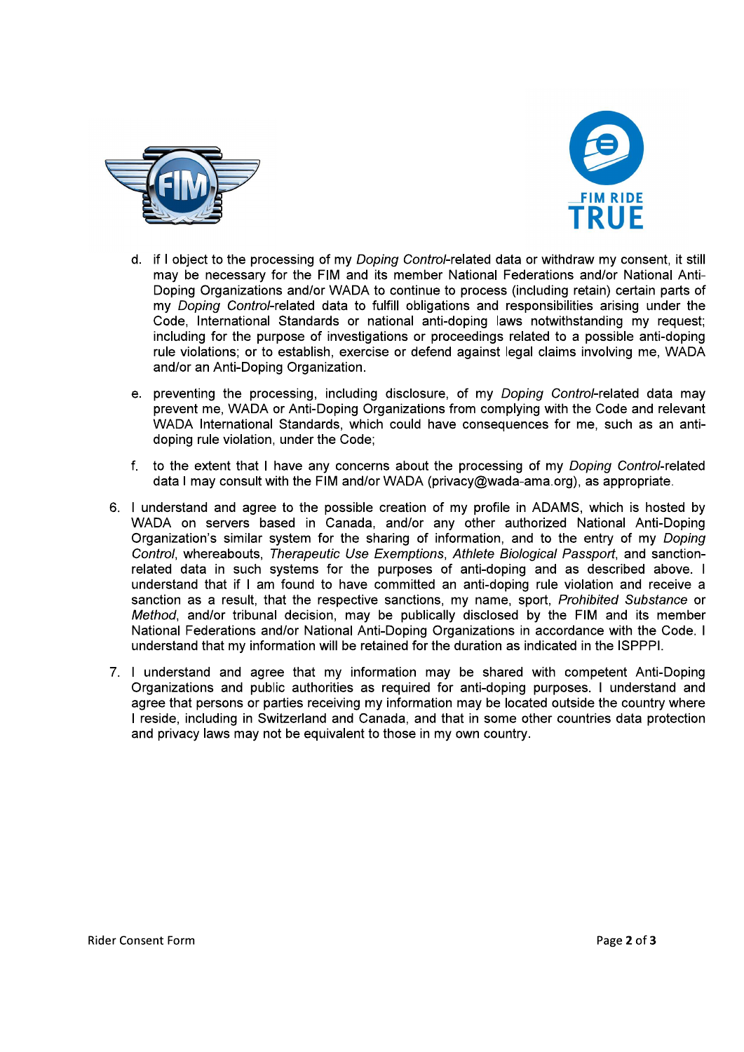



- d. if I object to the processing of my Doping Control-related data or withdraw my consent, it still may be necessary for the FIM and its member National Federations and/or National Anti-Doping Organizations and/or WADA to continue to process (including retain) certain parts of my Doping Control-related data to fulfill obligations and responsibilities arising under the Code, International Standards or national anti-doping laws notwithstanding my request; including for the purpose of investigations or proceedings related to a possible anti-doping rule violations; or to establish, exercise or defend against legal claims involving me, WADA and/or an Anti-Doping Organization.
- e. preventing the processing, including disclosure, of my Doping Control-related data may prevent me, WADA or Anti-Doping Organizations from complying with the Code and relevant WADA International Standards, which could have consequences for me, such as an antidoping rule violation, under the Code;
- f. to the extent that I have any concerns about the processing of my Doping Control-related data I may consult with the FIM and/or WADA (privacy@wada-ama.org), as appropriate.
- 6. I understand and agree to the possible creation of my profile in ADAMS, which is hosted by WADA on servers based in Canada, and/or any other authorized National Anti-Doping Organization's similar system for the sharing of information, and to the entry of my Doping Control, whereabouts, Therapeutic Use Exemptions, Athlete Biological Passport, and sanctionrelated data in such systems for the purposes of anti-doping and as described above. I understand that if I am found to have committed an anti-doping rule violation and receive a sanction as a result, that the respective sanctions, my name, sport, Prohibited Substance or Method, and/or tribunal decision, may be publically disclosed by the FIM and its member National Federations and/or National Anti-Doping Organizations in accordance with the Code. I understand that my information will be retained for the duration as indicated in the ISPPPI.
- 7. I understand and agree that my information may be shared with competent Anti-Doping Organizations and public authorities as required for anti-doping purposes. I understand and agree that persons or parties receiving my information may be located outside the country where I reside, including in Switzerland and Canada, and that in some other countries data protection and privacy laws may not be equivalent to those in my own country.